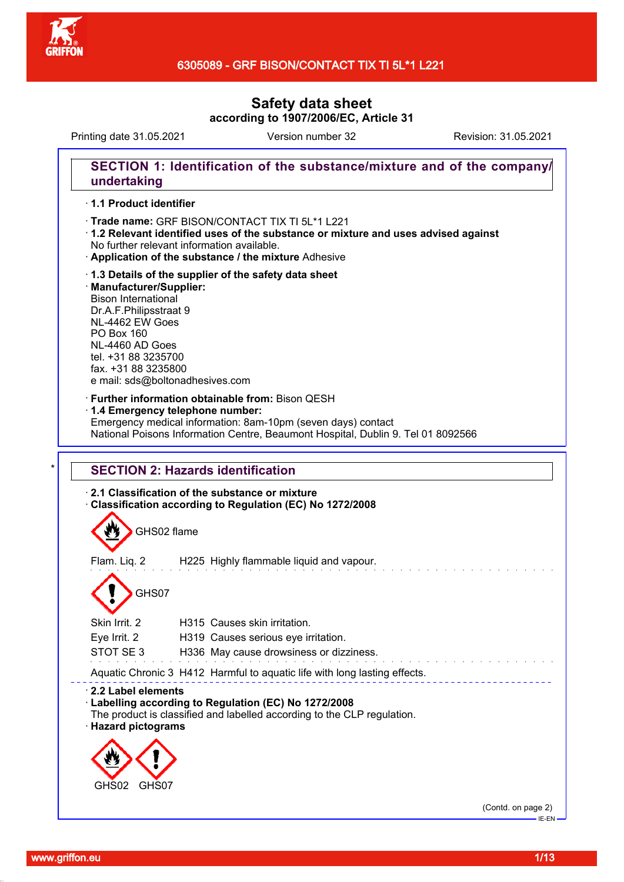

Printing date 31.05.2021 Version number 32 Revision: 31.05.2021

## **SECTION 1: Identification of the substance/mixture and of the company/ undertaking**

## · **1.1 Product identifier**

- · Trade name: GRF BISON/CONTACT TIX TI 5L\*1 L221
- · **1.2 Relevant identified uses of the substance or mixture and uses advised against** No further relevant information available.
- · **Application of the substance / the mixture** Adhesive
- · **1.3 Details of the supplier of the safety data sheet** · **Manufacturer/Supplier:** Bison International Dr.A.F.Philipsstraat 9 NL-4462 EW Goes PO Box 160 NL-4460 AD Goes tel. +31 88 3235700 fax. +31 88 3235800 e mail: sds@boltonadhesives.com

#### · **Further information obtainable from:** Bison QESH

#### · **1.4 Emergency telephone number:**

Emergency medical information: 8am-10pm (seven days) contact National Poisons Information Centre, Beaumont Hospital, Dublin 9. Tel 01 8092566

## **SECTION 2: Hazards identification**

## · **2.1 Classification of the substance or mixture**

· **Classification according to Regulation (EC) No 1272/2008**

GHS02 flame

Flam. Liq. 2 H225 Highly flammable liquid and vapour.

# GHS07

| Skin Irrit, 2                                                       | H315 Causes skin irritation.                                                                                                   |
|---------------------------------------------------------------------|--------------------------------------------------------------------------------------------------------------------------------|
| Eye Irrit. 2                                                        | H319 Causes serious eye irritation.                                                                                            |
| STOT SE3                                                            | H336 May cause drowsiness or dizziness.                                                                                        |
|                                                                     | Aquatic Chronic 3 H412 Harmful to aquatic life with long lasting effects.                                                      |
| $\cdot$ 2.2 Label elements<br>· Hazard pictograms<br>GHS02<br>GHS07 | Labelling according to Regulation (EC) No 1272/2008<br>The product is classified and labelled according to the CLP regulation. |

(Contd. on page 2)  $-F-FN$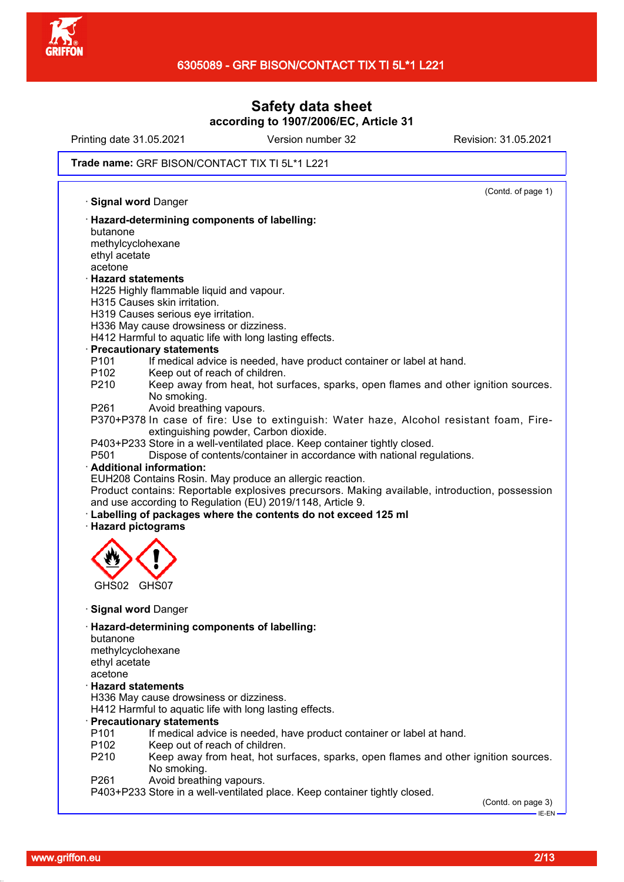

Printing date 31.05.2021 Version number 32 Revision: 31.05.2021

### Trade name: GRF BISON/CONTACT TIX TI 5L\*1 L221

(Contd. of page 1) · **Signal word** Danger · **Hazard-determining components of labelling:** butanone methylcyclohexane ethyl acetate acetone · **Hazard statements** H225 Highly flammable liquid and vapour. H315 Causes skin irritation. H319 Causes serious eye irritation. H336 May cause drowsiness or dizziness. H412 Harmful to aquatic life with long lasting effects. · **Precautionary statements** P101 If medical advice is needed, have product container or label at hand. P102 Keep out of reach of children. P210 Keep away from heat, hot surfaces, sparks, open flames and other ignition sources. No smoking. P261 Avoid breathing vapours. P370+P378 In case of fire: Use to extinguish: Water haze, Alcohol resistant foam, Fireextinguishing powder, Carbon dioxide. P403+P233 Store in a well-ventilated place. Keep container tightly closed. P501 Dispose of contents/container in accordance with national regulations. · **Additional information:** EUH208 Contains Rosin. May produce an allergic reaction. Product contains: Reportable explosives precursors. Making available, introduction, possession and use according to Regulation (EU) 2019/1148, Article 9. · **Labelling of packages where the contents do not exceed 125 ml** · **Hazard pictograms** GHS02 GHS07 · **Signal word** Danger · **Hazard-determining components of labelling:** butanone methylcyclohexane ethyl acetate acetone · **Hazard statements** H336 May cause drowsiness or dizziness. H412 Harmful to aquatic life with long lasting effects. · **Precautionary statements** P101 If medical advice is needed, have product container or label at hand. P102 Keep out of reach of children. P210 Keep away from heat, hot surfaces, sparks, open flames and other ignition sources. No smoking. P261 Avoid breathing vapours.

P403+P233 Store in a well-ventilated place. Keep container tightly closed.

(Contd. on page 3)

IE-EN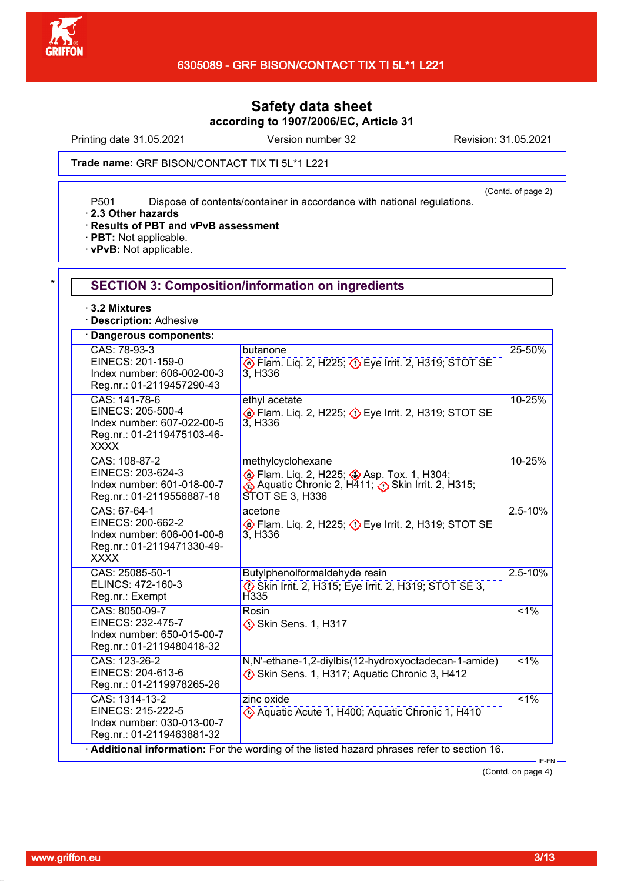

Printing date 31.05.2021 Version number 32 Revision: 31.05.2021

(Contd. of page 2)

Trade name: GRF BISON/CONTACT TIX TI 5L\*1 L221

P501 Dispose of contents/container in accordance with national regulations.

· **2.3 Other hazards**

## · **Results of PBT and vPvB assessment**

· **PBT:** Not applicable.

· **vPvB:** Not applicable.

| * I | <b>SECTION 3: Composition/information on ingredients</b> |
|-----|----------------------------------------------------------|
|-----|----------------------------------------------------------|

· **3.2 Mixtures**

· **Description:** Adhesive

| Dangerous components:                                                                                         |                                                                                                                                    |             |
|---------------------------------------------------------------------------------------------------------------|------------------------------------------------------------------------------------------------------------------------------------|-------------|
| CAS: 78-93-3<br>EINECS: 201-159-0<br>Index number: 606-002-00-3<br>Reg.nr.: 01-2119457290-43                  | butanone<br>Flam. Lig. 2, H225; $\Diamond$ Eye Irrit. 2, H319; STOT SE<br>3. H <sub>3</sub> 36                                     | 25-50%      |
| CAS: 141-78-6<br>EINECS: 205-500-4<br>Index number: 607-022-00-5<br>Reg.nr.: 01-2119475103-46-<br><b>XXXX</b> | ethyl acetate<br>$\circledcirc$ Flam. Lig. 2, H225; $\circledcirc$ Eye Irrit. 2, H319; STOT SE<br>3, H336                          | 10-25%      |
| CAS: 108-87-2<br>EINECS: 203-624-3<br>Index number: 601-018-00-7<br>Reg.nr.: 01-2119556887-18                 | methylcyclohexane<br>Flam. Liq. 2, H225; Asp. Tox. 1, H304;<br>Aquatic Chronic 2, H411; () Skin Irrit. 2, H315;<br>STOT SE 3, H336 | 10-25%      |
| CAS: 67-64-1<br>EINECS: 200-662-2<br>Index number: 606-001-00-8<br>Reg.nr.: 01-2119471330-49-<br><b>XXXX</b>  | acetone<br>Exp. Flam. Lig. 2, H225; $\Diamond$ Eye Irrit. 2, H319; STOT SE<br>3, H336                                              | $2.5 - 10%$ |
| CAS: 25085-50-1<br>ELINCS: 472-160-3<br>Reg.nr.: Exempt                                                       | Butylphenolformaldehyde resin<br>Skin Irrit. 2, H315; Eye Irrit. 2, H319; STOT SE 3,<br>H <sub>335</sub>                           | $2.5 - 10%$ |
| CAS: 8050-09-7<br>EINECS: 232-475-7<br>Index number: 650-015-00-7<br>Reg.nr.: 01-2119480418-32                | Rosin<br>Skin Sens. 1, H317                                                                                                        | $1\%$       |
| CAS: 123-26-2<br>EINECS: 204-613-6<br>Reg.nr.: 01-2119978265-26                                               | N,N'-ethane-1,2-diylbis(12-hydroxyoctadecan-1-amide)<br>Skin Sens. 1, H317; Aquatic Chronic 3, H412                                | $1\%$       |
| CAS: 1314-13-2<br>EINECS: 215-222-5<br>Index number: 030-013-00-7<br>Reg.nr.: 01-2119463881-32                | zinc oxide<br>Aquatic Acute 1, H400; Aquatic Chronic 1, H410                                                                       | $1\%$       |

(Contd. on page 4)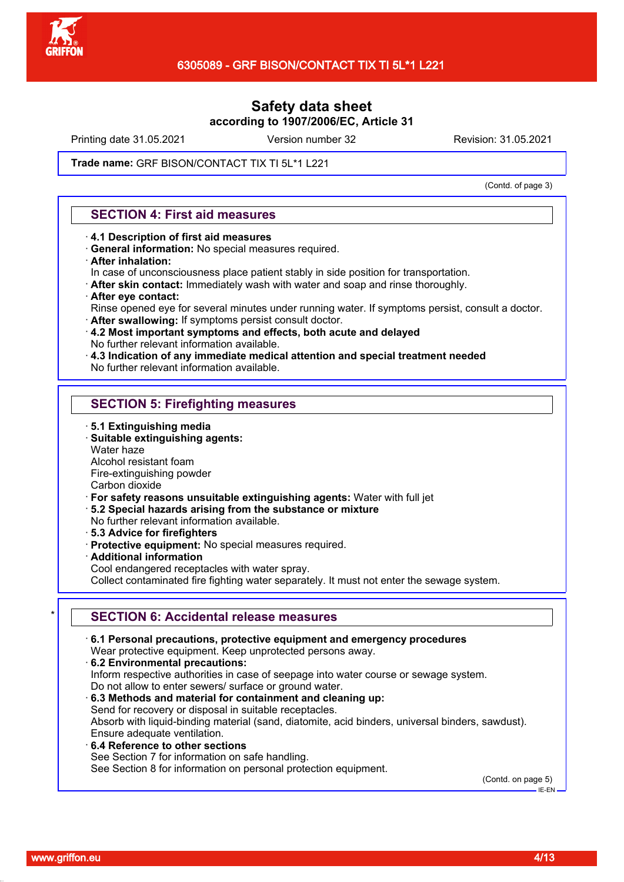

Printing date 31.05.2021 Version number 32 Revision: 31.05.2021

## Trade name: GRF BISON/CONTACT TIX TI 5L\*1 L221

(Contd. of page 3)

## **SECTION 4: First aid measures**

- · **4.1 Description of first aid measures**
- · **General information:** No special measures required.
- · **After inhalation:**
- In case of unconsciousness place patient stably in side position for transportation.
- · **After skin contact:** Immediately wash with water and soap and rinse thoroughly.
- · **After eye contact:**
- Rinse opened eye for several minutes under running water. If symptoms persist, consult a doctor.
- · **After swallowing:** If symptoms persist consult doctor.
- · **4.2 Most important symptoms and effects, both acute and delayed** No further relevant information available.
- · **4.3 Indication of any immediate medical attention and special treatment needed**
- No further relevant information available.

## **SECTION 5: Firefighting measures**

- · **5.1 Extinguishing media**
- · **Suitable extinguishing agents:**
- Water haze
- Alcohol resistant foam
- Fire-extinguishing powder

Carbon dioxide

- · **For safety reasons unsuitable extinguishing agents:** Water with full jet
- · **5.2 Special hazards arising from the substance or mixture**
- No further relevant information available.
- · **5.3 Advice for firefighters**
- · **Protective equipment:** No special measures required.
- · **Additional information**
- Cool endangered receptacles with water spray.

Collect contaminated fire fighting water separately. It must not enter the sewage system.

## **SECTION 6: Accidental release measures**

· **6.1 Personal precautions, protective equipment and emergency procedures** Wear protective equipment. Keep unprotected persons away. · **6.2 Environmental precautions:** Inform respective authorities in case of seepage into water course or sewage system. Do not allow to enter sewers/ surface or ground water. · **6.3 Methods and material for containment and cleaning up:** Send for recovery or disposal in suitable receptacles. Absorb with liquid-binding material (sand, diatomite, acid binders, universal binders, sawdust). Ensure adequate ventilation. · **6.4 Reference to other sections** See Section 7 for information on safe handling. See Section 8 for information on personal protection equipment. (Contd. on page 5)

IE-EN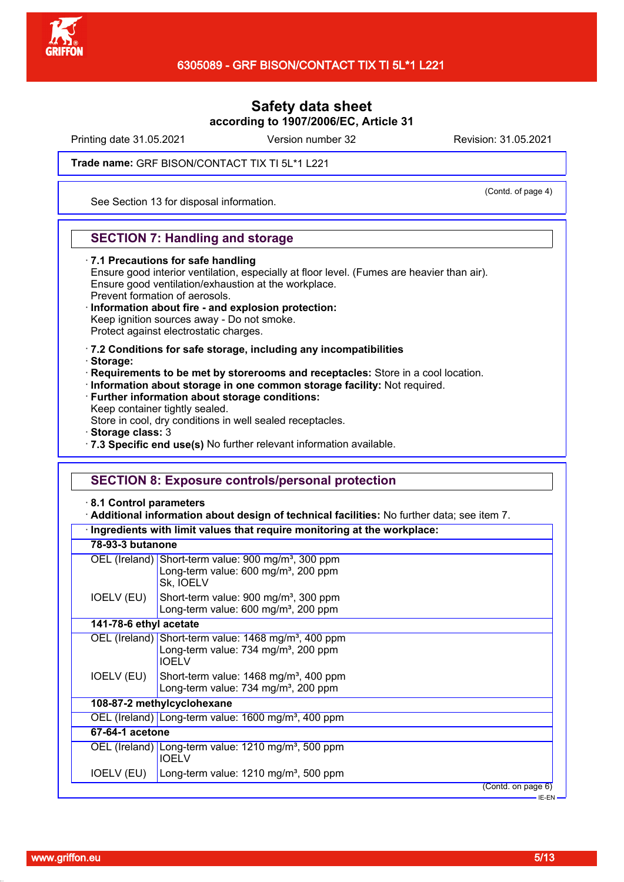

Printing date 31.05.2021 Version number 32 Revision: 31.05.2021

(Contd. of page 4)

## Trade name: GRF BISON/CONTACT TIX TI 5L\*1 L221

See Section 13 for disposal information.

## **SECTION 7: Handling and storage**

· **7.1 Precautions for safe handling** Ensure good interior ventilation, especially at floor level. (Fumes are heavier than air). Ensure good ventilation/exhaustion at the workplace. Prevent formation of aerosols. · **Information about fire - and explosion protection:**

- Keep ignition sources away Do not smoke. Protect against electrostatic charges.
- · **7.2 Conditions for safe storage, including any incompatibilities**
- · **Storage:**
- · **Requirements to be met by storerooms and receptacles:** Store in a cool location.
- · **Information about storage in one common storage facility:** Not required.
- · **Further information about storage conditions:**
- Keep container tightly sealed.

Store in cool, dry conditions in well sealed receptacles.

- · **Storage class:** 3
- · **7.3 Specific end use(s)** No further relevant information available.

## **SECTION 8: Exposure controls/personal protection**

· **8.1 Control parameters**

· **Additional information about design of technical facilities:** No further data; see item 7.

|                        | Ingredients with limit values that require monitoring at the workplace:                                                              |  |  |  |  |
|------------------------|--------------------------------------------------------------------------------------------------------------------------------------|--|--|--|--|
| 78-93-3 butanone       |                                                                                                                                      |  |  |  |  |
|                        | OEL (Ireland) Short-term value: 900 mg/m <sup>3</sup> , 300 ppm<br>Long-term value: 600 mg/m <sup>3</sup> , 200 ppm<br>Sk, IOELV     |  |  |  |  |
| IOELV (EU)             | Short-term value: 900 mg/m <sup>3</sup> , 300 ppm<br>Long-term value: 600 mg/m <sup>3</sup> , 200 ppm                                |  |  |  |  |
| 141-78-6 ethyl acetate |                                                                                                                                      |  |  |  |  |
|                        | OEL (Ireland) Short-term value: 1468 mg/m <sup>3</sup> , 400 ppm<br>Long-term value: 734 mg/m <sup>3</sup> , 200 ppm<br><b>IOELV</b> |  |  |  |  |
| IOELV (EU)             | Short-term value: 1468 mg/m <sup>3</sup> , 400 ppm<br>Long-term value: 734 mg/m <sup>3</sup> , 200 ppm                               |  |  |  |  |
|                        | 108-87-2 methylcyclohexane                                                                                                           |  |  |  |  |
|                        | OEL (Ireland) Long-term value: 1600 mg/m <sup>3</sup> , 400 ppm                                                                      |  |  |  |  |
| 67-64-1 acetone        |                                                                                                                                      |  |  |  |  |
|                        | OEL (Ireland) Long-term value: 1210 mg/m <sup>3</sup> , 500 ppm<br><b>IOELV</b>                                                      |  |  |  |  |
| IOELV (EU)             | Long-term value: $1210$ mg/m <sup>3</sup> , 500 ppm                                                                                  |  |  |  |  |
|                        | (Contd. on page 6)                                                                                                                   |  |  |  |  |
|                        | $-EEN -$                                                                                                                             |  |  |  |  |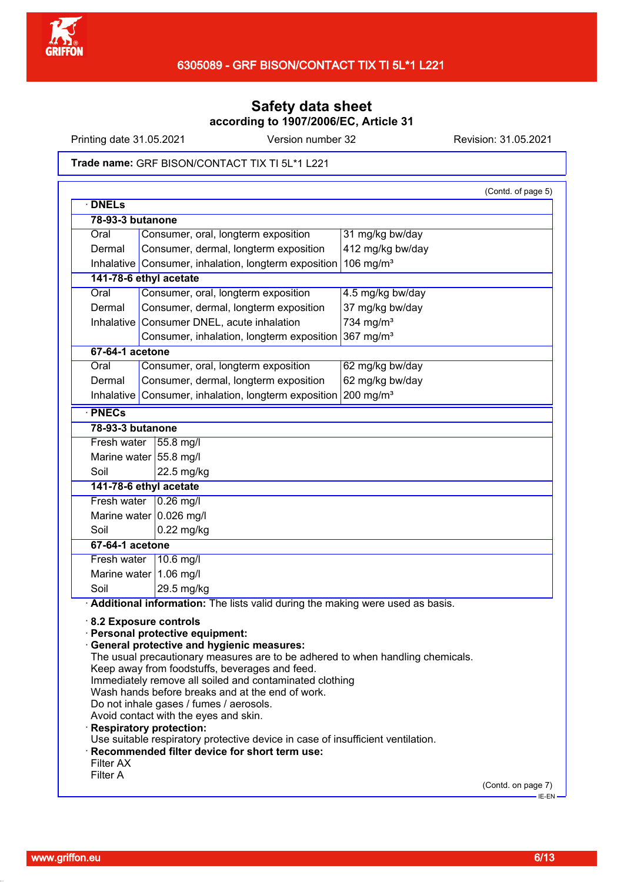

Printing date 31.05.2021 Version number 32 Revision: 31.05.2021

### Trade name: GRF BISON/CONTACT TIX TI 5L\*1 L221

| <b>DNELs</b>            |                                                                                                                                                                                                                                                                                                                                                                                                                                                                                                                                                                                                     |                       | (Contd. of page 5) |
|-------------------------|-----------------------------------------------------------------------------------------------------------------------------------------------------------------------------------------------------------------------------------------------------------------------------------------------------------------------------------------------------------------------------------------------------------------------------------------------------------------------------------------------------------------------------------------------------------------------------------------------------|-----------------------|--------------------|
| 78-93-3 butanone        |                                                                                                                                                                                                                                                                                                                                                                                                                                                                                                                                                                                                     |                       |                    |
| Oral                    | Consumer, oral, longterm exposition                                                                                                                                                                                                                                                                                                                                                                                                                                                                                                                                                                 | 31 mg/kg bw/day       |                    |
| Dermal                  | Consumer, dermal, longterm exposition                                                                                                                                                                                                                                                                                                                                                                                                                                                                                                                                                               | 412 mg/kg bw/day      |                    |
| Inhalative              | Consumer, inhalation, longterm exposition                                                                                                                                                                                                                                                                                                                                                                                                                                                                                                                                                           | 106 mg/ $m3$          |                    |
| 141-78-6 ethyl acetate  |                                                                                                                                                                                                                                                                                                                                                                                                                                                                                                                                                                                                     |                       |                    |
| Oral                    | Consumer, oral, longterm exposition                                                                                                                                                                                                                                                                                                                                                                                                                                                                                                                                                                 | 4.5 mg/kg bw/day      |                    |
| Dermal                  | Consumer, dermal, longterm exposition                                                                                                                                                                                                                                                                                                                                                                                                                                                                                                                                                               | 37 mg/kg bw/day       |                    |
| Inhalative              | Consumer DNEL, acute inhalation                                                                                                                                                                                                                                                                                                                                                                                                                                                                                                                                                                     | 734 mg/m <sup>3</sup> |                    |
|                         | Consumer, inhalation, longterm exposition 367 mg/m <sup>3</sup>                                                                                                                                                                                                                                                                                                                                                                                                                                                                                                                                     |                       |                    |
| $67-64-1$ acetone       |                                                                                                                                                                                                                                                                                                                                                                                                                                                                                                                                                                                                     |                       |                    |
|                         |                                                                                                                                                                                                                                                                                                                                                                                                                                                                                                                                                                                                     |                       |                    |
| Oral                    | Consumer, oral, longterm exposition                                                                                                                                                                                                                                                                                                                                                                                                                                                                                                                                                                 | 62 mg/kg bw/day       |                    |
| Dermal                  | Consumer, dermal, longterm exposition                                                                                                                                                                                                                                                                                                                                                                                                                                                                                                                                                               | 62 mg/kg bw/day       |                    |
| Inhalative              | Consumer, inhalation, longterm exposition 200 mg/m <sup>3</sup>                                                                                                                                                                                                                                                                                                                                                                                                                                                                                                                                     |                       |                    |
| · PNECs                 |                                                                                                                                                                                                                                                                                                                                                                                                                                                                                                                                                                                                     |                       |                    |
| 78-93-3 butanone        |                                                                                                                                                                                                                                                                                                                                                                                                                                                                                                                                                                                                     |                       |                    |
| Fresh water 55.8 mg/l   |                                                                                                                                                                                                                                                                                                                                                                                                                                                                                                                                                                                                     |                       |                    |
| Marine water 55.8 mg/l  |                                                                                                                                                                                                                                                                                                                                                                                                                                                                                                                                                                                                     |                       |                    |
| Soil                    | 22.5 mg/kg                                                                                                                                                                                                                                                                                                                                                                                                                                                                                                                                                                                          |                       |                    |
| 141-78-6 ethyl acetate  |                                                                                                                                                                                                                                                                                                                                                                                                                                                                                                                                                                                                     |                       |                    |
|                         | Fresh water $\vert$ 0.26 mg/l                                                                                                                                                                                                                                                                                                                                                                                                                                                                                                                                                                       |                       |                    |
|                         | Marine water 0.026 mg/l                                                                                                                                                                                                                                                                                                                                                                                                                                                                                                                                                                             |                       |                    |
| Soil                    | $0.22$ mg/kg                                                                                                                                                                                                                                                                                                                                                                                                                                                                                                                                                                                        |                       |                    |
| 67-64-1 acetone         |                                                                                                                                                                                                                                                                                                                                                                                                                                                                                                                                                                                                     |                       |                    |
| Fresh water   10.6 mg/l |                                                                                                                                                                                                                                                                                                                                                                                                                                                                                                                                                                                                     |                       |                    |
|                         | Marine water 1.06 mg/l                                                                                                                                                                                                                                                                                                                                                                                                                                                                                                                                                                              |                       |                    |
| Soil                    | 29.5 mg/kg                                                                                                                                                                                                                                                                                                                                                                                                                                                                                                                                                                                          |                       |                    |
|                         | Additional information: The lists valid during the making were used as basis.                                                                                                                                                                                                                                                                                                                                                                                                                                                                                                                       |                       |                    |
| 8.2 Exposure controls   | · Personal protective equipment:<br><b>General protective and hygienic measures:</b><br>The usual precautionary measures are to be adhered to when handling chemicals.<br>Keep away from foodstuffs, beverages and feed.<br>Immediately remove all soiled and contaminated clothing<br>Wash hands before breaks and at the end of work.<br>Do not inhale gases / fumes / aerosols.<br>Avoid contact with the eyes and skin.<br><b>Respiratory protection:</b><br>Use suitable respiratory protective device in case of insufficient ventilation.<br>· Recommended filter device for short term use: |                       |                    |
|                         |                                                                                                                                                                                                                                                                                                                                                                                                                                                                                                                                                                                                     |                       |                    |
| Filter AX<br>Filter A   |                                                                                                                                                                                                                                                                                                                                                                                                                                                                                                                                                                                                     |                       |                    |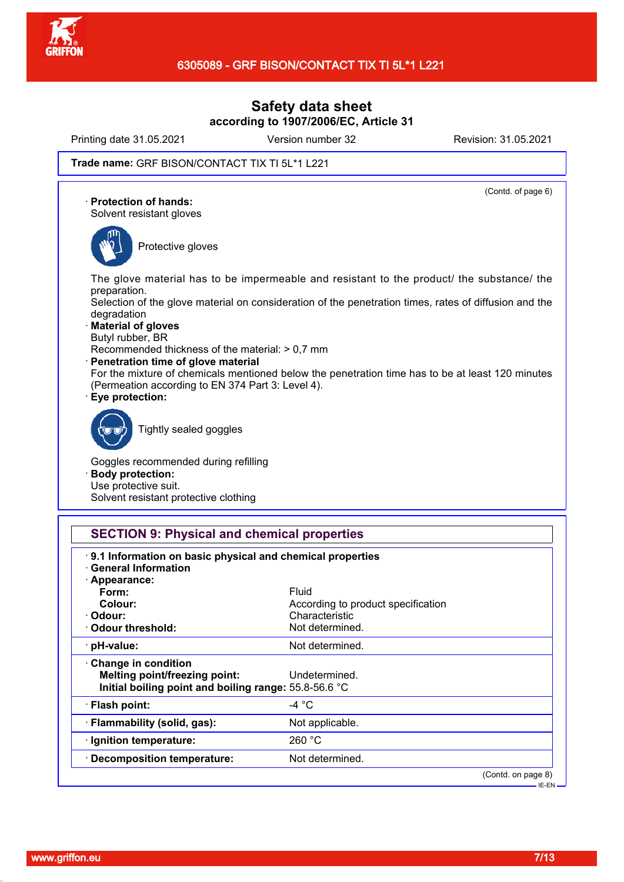

Printing date 31.05.2021 Version number 32 Revision: 31.05.2021

(Contd. of page 6)

### Trade name: GRF BISON/CONTACT TIX TI 5L\*1 L221

· **Protection of hands:**

Solvent resistant gloves



Protective gloves

The glove material has to be impermeable and resistant to the product/ the substance/ the preparation.

Selection of the glove material on consideration of the penetration times, rates of diffusion and the degradation

- · **Material of gloves**
- Butyl rubber, BR
- Recommended thickness of the material: > 0,7 mm
- · **Penetration time of glove material**

For the mixture of chemicals mentioned below the penetration time has to be at least 120 minutes (Permeation according to EN 374 Part 3: Level 4).

· **Eye protection:**



Tightly sealed goggles

Goggles recommended during refilling · **Body protection:** Use protective suit. Solvent resistant protective clothing

## **SECTION 9: Physical and chemical properties**

| <b>General Information</b>                                                                                    |                                    |                                 |
|---------------------------------------------------------------------------------------------------------------|------------------------------------|---------------------------------|
| · Appearance:                                                                                                 |                                    |                                 |
| Form:                                                                                                         | Fluid                              |                                 |
| Colour:                                                                                                       | According to product specification |                                 |
| · Odour:                                                                                                      | Characteristic                     |                                 |
| Odour threshold:                                                                                              | Not determined.                    |                                 |
| · pH-value:                                                                                                   | Not determined.                    |                                 |
| Change in condition<br>Melting point/freezing point:<br>Initial boiling point and boiling range: 55.8-56.6 °C | Undetermined.                      |                                 |
| · Flash point:                                                                                                | -4 °C                              |                                 |
| · Flammability (solid, gas):                                                                                  | Not applicable.                    |                                 |
| · Ignition temperature:                                                                                       | 260 °C                             |                                 |
| · Decomposition temperature:                                                                                  | Not determined.                    |                                 |
|                                                                                                               |                                    | (Contd. on page 8)<br>· IE-EN – |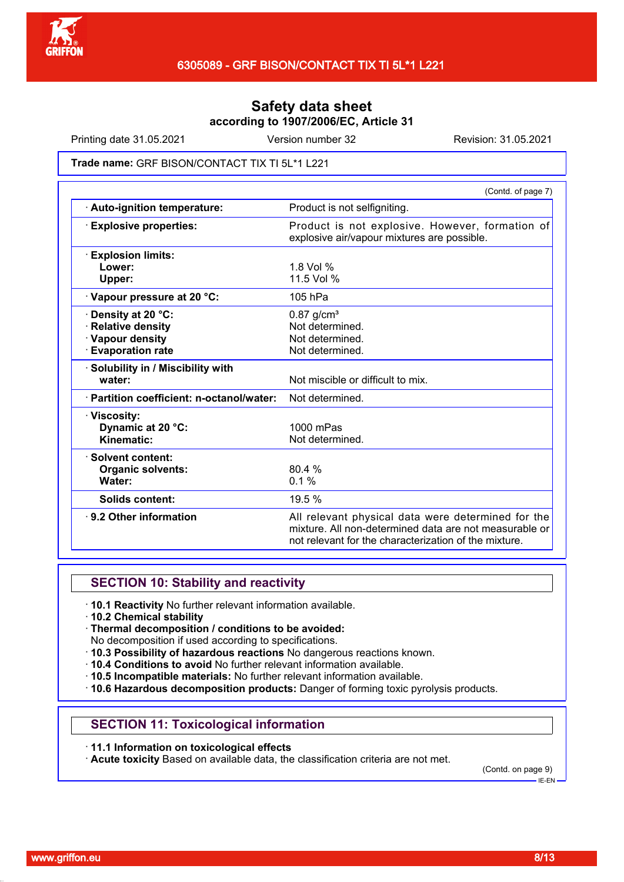

Printing date 31.05.2021 Version number 32 Revision: 31.05.2021

#### Trade name: GRF BISON/CONTACT TIX TI 5L\*1 L221

| Product is not selfigniting.<br>Product is not explosive. However, formation of<br>explosive air/vapour mixtures are possible.                                        |
|-----------------------------------------------------------------------------------------------------------------------------------------------------------------------|
|                                                                                                                                                                       |
|                                                                                                                                                                       |
|                                                                                                                                                                       |
| $1.8$ Vol %                                                                                                                                                           |
| 11.5 Vol %                                                                                                                                                            |
| $105$ hPa                                                                                                                                                             |
| $0.87$ g/cm <sup>3</sup>                                                                                                                                              |
| Not determined.                                                                                                                                                       |
| Not determined.                                                                                                                                                       |
| Not determined.                                                                                                                                                       |
|                                                                                                                                                                       |
| Not miscible or difficult to mix.                                                                                                                                     |
| Not determined.                                                                                                                                                       |
|                                                                                                                                                                       |
| $1000$ mPas                                                                                                                                                           |
| Not determined.                                                                                                                                                       |
|                                                                                                                                                                       |
| 80.4 %                                                                                                                                                                |
| $0.1\%$                                                                                                                                                               |
| 19.5 %                                                                                                                                                                |
| All relevant physical data were determined for the<br>mixture. All non-determined data are not measurable or<br>not relevant for the characterization of the mixture. |
|                                                                                                                                                                       |

## **SECTION 10: Stability and reactivity**

- · **10.1 Reactivity** No further relevant information available.
- · **10.2 Chemical stability**
- · **Thermal decomposition / conditions to be avoided:**
- No decomposition if used according to specifications.
- · **10.3 Possibility of hazardous reactions** No dangerous reactions known.
- · **10.4 Conditions to avoid** No further relevant information available.
- · **10.5 Incompatible materials:** No further relevant information available.
- · **10.6 Hazardous decomposition products:** Danger of forming toxic pyrolysis products.

## **SECTION 11: Toxicological information**

### · **11.1 Information on toxicological effects**

· **Acute toxicity** Based on available data, the classification criteria are not met.

(Contd. on page 9)

IE-EN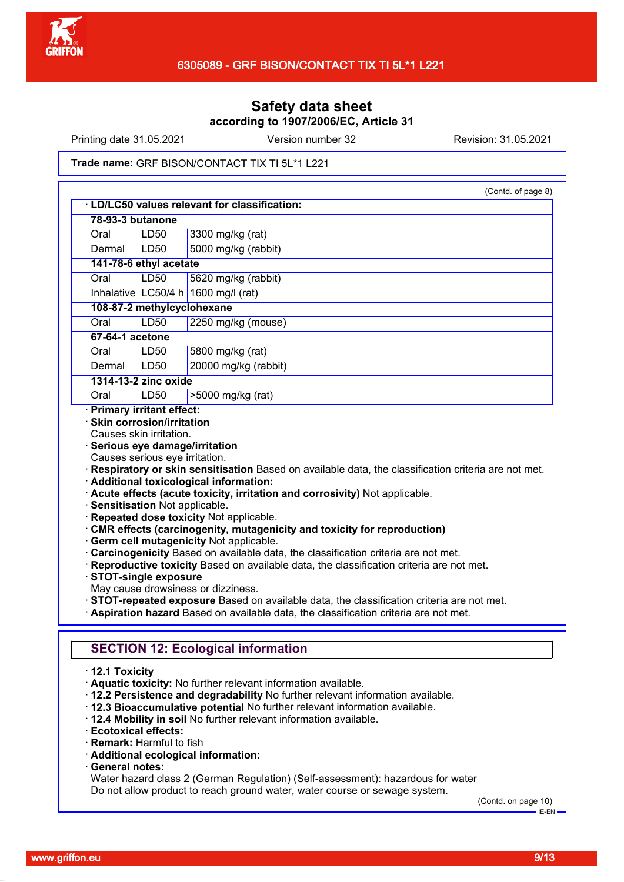

Printing date 31.05.2021 Version number 32 Revision: 31.05.2021

#### Trade name: GRF BISON/CONTACT TIX TI 5L\*1 L221

|                                                           |                            | (Contd. of page 8)                                                                                                                                                                                                                                                                                                                                                                                                                                                                                                                                                                                                 |  |
|-----------------------------------------------------------|----------------------------|--------------------------------------------------------------------------------------------------------------------------------------------------------------------------------------------------------------------------------------------------------------------------------------------------------------------------------------------------------------------------------------------------------------------------------------------------------------------------------------------------------------------------------------------------------------------------------------------------------------------|--|
| · LD/LC50 values relevant for classification:             |                            |                                                                                                                                                                                                                                                                                                                                                                                                                                                                                                                                                                                                                    |  |
| 78-93-3 butanone                                          |                            |                                                                                                                                                                                                                                                                                                                                                                                                                                                                                                                                                                                                                    |  |
| Oral                                                      | LD50                       | 3300 mg/kg (rat)                                                                                                                                                                                                                                                                                                                                                                                                                                                                                                                                                                                                   |  |
| Dermal                                                    | LD50                       | 5000 mg/kg (rabbit)                                                                                                                                                                                                                                                                                                                                                                                                                                                                                                                                                                                                |  |
| 141-78-6 ethyl acetate                                    |                            |                                                                                                                                                                                                                                                                                                                                                                                                                                                                                                                                                                                                                    |  |
| Oral                                                      | LD50                       | 5620 mg/kg (rabbit)                                                                                                                                                                                                                                                                                                                                                                                                                                                                                                                                                                                                |  |
| Inhalative LC50/4 h                                       |                            | 1600 mg/l (rat)                                                                                                                                                                                                                                                                                                                                                                                                                                                                                                                                                                                                    |  |
|                                                           | 108-87-2 methylcyclohexane |                                                                                                                                                                                                                                                                                                                                                                                                                                                                                                                                                                                                                    |  |
| Oral                                                      | <b>LD50</b>                | 2250 mg/kg (mouse)                                                                                                                                                                                                                                                                                                                                                                                                                                                                                                                                                                                                 |  |
| 67-64-1 acetone                                           |                            |                                                                                                                                                                                                                                                                                                                                                                                                                                                                                                                                                                                                                    |  |
| Oral                                                      | LD50                       | 5800 mg/kg (rat)                                                                                                                                                                                                                                                                                                                                                                                                                                                                                                                                                                                                   |  |
| Dermal                                                    | LD50                       | 20000 mg/kg (rabbit)                                                                                                                                                                                                                                                                                                                                                                                                                                                                                                                                                                                               |  |
| 1314-13-2 zinc oxide                                      |                            |                                                                                                                                                                                                                                                                                                                                                                                                                                                                                                                                                                                                                    |  |
| Oral                                                      | <b>LD50</b>                | >5000 mg/kg (rat)                                                                                                                                                                                                                                                                                                                                                                                                                                                                                                                                                                                                  |  |
| · Sensitisation Not applicable.<br>· STOT-single exposure |                            | · Additional toxicological information:<br>· Acute effects (acute toxicity, irritation and corrosivity) Not applicable.<br>· Repeated dose toxicity Not applicable.<br>CMR effects (carcinogenity, mutagenicity and toxicity for reproduction)<br>· Germ cell mutagenicity Not applicable.<br>· Carcinogenicity Based on available data, the classification criteria are not met.<br>· Reproductive toxicity Based on available data, the classification criteria are not met.<br>May cause drowsiness or dizziness.<br>· STOT-repeated exposure Based on available data, the classification criteria are not met. |  |
|                                                           |                            | · Aspiration hazard Based on available data, the classification criteria are not met.<br><b>SECTION 12: Ecological information</b>                                                                                                                                                                                                                                                                                                                                                                                                                                                                                 |  |
| $\cdot$ 12.1 Toxicity                                     |                            | · Aquatic toxicity: No further relevant information available.                                                                                                                                                                                                                                                                                                                                                                                                                                                                                                                                                     |  |

- · **12.2 Persistence and degradability** No further relevant information available.
- · **12.3 Bioaccumulative potential** No further relevant information available.
- · **12.4 Mobility in soil** No further relevant information available.
- · **Ecotoxical effects:**
- · **Remark:** Harmful to fish
- · **Additional ecological information:**
- · **General notes:**

Water hazard class 2 (German Regulation) (Self-assessment): hazardous for water Do not allow product to reach ground water, water course or sewage system.

(Contd. on page 10)

 $-$ IE-EN-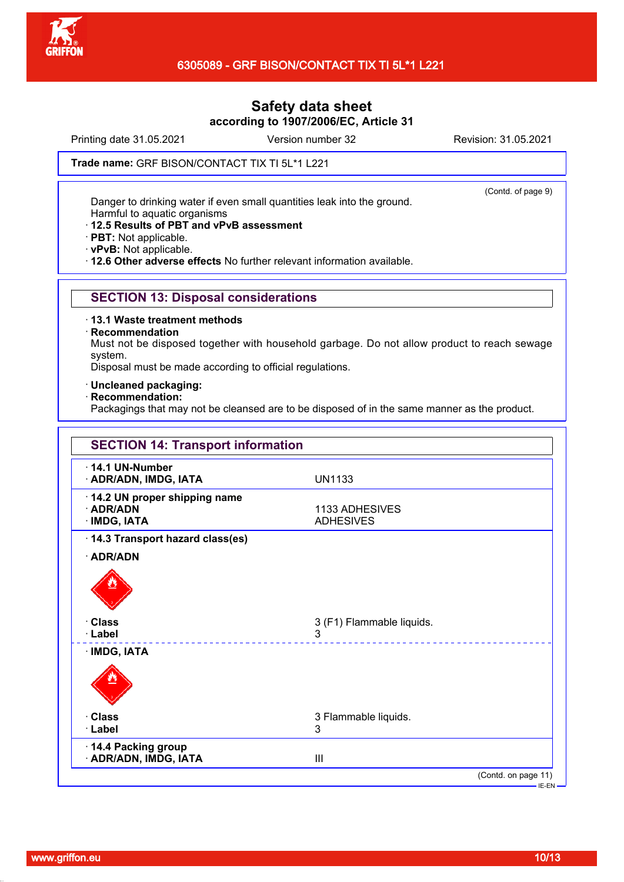

Printing date 31.05.2021 Version number 32 Revision: 31.05.2021

(Contd. of page 9)

### Trade name: GRF BISON/CONTACT TIX TI 5L\*1 L221

Danger to drinking water if even small quantities leak into the ground.

Harmful to aquatic organisms

- · **12.5 Results of PBT and vPvB assessment**
- · **PBT:** Not applicable.
- · **vPvB:** Not applicable.

· **12.6 Other adverse effects** No further relevant information available.

## **SECTION 13: Disposal considerations**

- · **13.1 Waste treatment methods**
- · **Recommendation**

Must not be disposed together with household garbage. Do not allow product to reach sewage system.

Disposal must be made according to official regulations.

- · **Uncleaned packaging:**
- · **Recommendation:**

Packagings that may not be cleansed are to be disposed of in the same manner as the product.

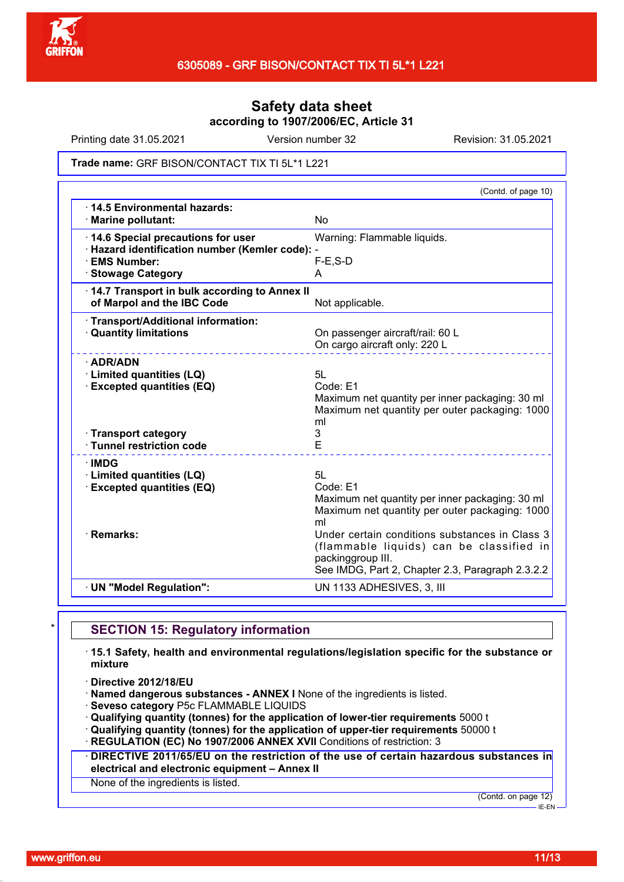

Printing date 31.05.2021 Version number 32 Revision: 31.05.2021

### Trade name: GRF BISON/CONTACT TIX TI 5L\*1 L221

|                                                                                      | (Contd. of page 10)                                                                                                                                                 |
|--------------------------------------------------------------------------------------|---------------------------------------------------------------------------------------------------------------------------------------------------------------------|
| 14.5 Environmental hazards:<br>· Marine pollutant:                                   | <b>No</b>                                                                                                                                                           |
| 14.6 Special precautions for user<br>· Hazard identification number (Kemler code): - | Warning: Flammable liquids.                                                                                                                                         |
| · EMS Number:                                                                        | $F-E$ , $S-D$                                                                                                                                                       |
| · Stowage Category                                                                   | A                                                                                                                                                                   |
| 14.7 Transport in bulk according to Annex II                                         |                                                                                                                                                                     |
| of Marpol and the IBC Code                                                           | Not applicable.                                                                                                                                                     |
| · Transport/Additional information:<br><b>Quantity limitations</b>                   | On passenger aircraft/rail: 60 L<br>On cargo aircraft only: 220 L                                                                                                   |
| $\cdot$ ADR/ADN                                                                      |                                                                                                                                                                     |
| · Limited quantities (LQ)                                                            | 5L                                                                                                                                                                  |
| <b>Excepted quantities (EQ)</b>                                                      | Code: E1<br>Maximum net quantity per inner packaging: 30 ml<br>Maximum net quantity per outer packaging: 1000<br>ml                                                 |
| · Transport category                                                                 | 3                                                                                                                                                                   |
| · Tunnel restriction code                                                            | E                                                                                                                                                                   |
| $\cdot$ IMDG                                                                         |                                                                                                                                                                     |
| · Limited quantities (LQ)                                                            | 5L                                                                                                                                                                  |
| <b>Excepted quantities (EQ)</b>                                                      | Code: E1                                                                                                                                                            |
|                                                                                      | Maximum net quantity per inner packaging: 30 ml<br>Maximum net quantity per outer packaging: 1000<br>ml                                                             |
| · Remarks:                                                                           | Under certain conditions substances in Class 3<br>(flammable liquids) can be classified in<br>packinggroup III.<br>See IMDG, Part 2, Chapter 2.3, Paragraph 2.3.2.2 |
| · UN "Model Regulation":                                                             | UN 1133 ADHESIVES, 3, III                                                                                                                                           |
|                                                                                      |                                                                                                                                                                     |

## **SECTION 15: Regulatory information**

· **15.1 Safety, health and environmental regulations/legislation specific for the substance or mixture**

· **Directive 2012/18/EU**

· **Named dangerous substances - ANNEX I** None of the ingredients is listed.

· **Seveso category** P5c FLAMMABLE LIQUIDS

· **Qualifying quantity (tonnes) for the application of lower-tier requirements** 5000 t

· **Qualifying quantity (tonnes) for the application of upper-tier requirements** 50000 t

· **REGULATION (EC) No 1907/2006 ANNEX XVII** Conditions of restriction: 3

· **DIRECTIVE 2011/65/EU on the restriction of the use of certain hazardous substances in electrical and electronic equipment – Annex II**

None of the ingredients is listed.

(Contd. on page 12)

 $-IE-EN$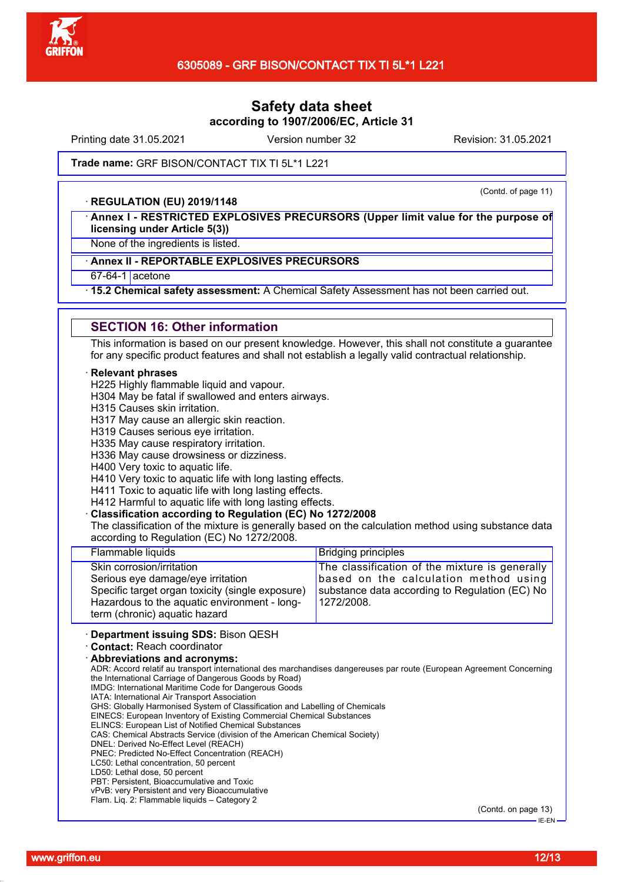

Printing date 31.05.2021 Version number 32 Revision: 31.05.2021

#### Trade name: GRF BISON/CONTACT TIX TI 5L\*1 L221

#### · **REGULATION (EU) 2019/1148**

(Contd. of page 11)

· **Annex I - RESTRICTED EXPLOSIVES PRECURSORS (Upper limit value for the purpose of licensing under Article 5(3))**

None of the ingredients is listed.

## · **Annex II - REPORTABLE EXPLOSIVES PRECURSORS**

67-64-1 acetone

· **15.2 Chemical safety assessment:** A Chemical Safety Assessment has not been carried out.

#### **SECTION 16: Other information**

This information is based on our present knowledge. However, this shall not constitute a guarantee for any specific product features and shall not establish a legally valid contractual relationship.

#### · **Relevant phrases**

H225 Highly flammable liquid and vapour.

H304 May be fatal if swallowed and enters airways.

H315 Causes skin irritation.

H317 May cause an allergic skin reaction.

H319 Causes serious eye irritation.

H335 May cause respiratory irritation.

H336 May cause drowsiness or dizziness.

H400 Very toxic to aquatic life.

H410 Very toxic to aquatic life with long lasting effects.

H411 Toxic to aquatic life with long lasting effects.

H412 Harmful to aquatic life with long lasting effects.

· **Classification according to Regulation (EC) No 1272/2008**

The classification of the mixture is generally based on the calculation method using substance data according to Regulation (EC) No 1272/2008.

| Benember of the ding <b>CBO</b> , Direct OFOU                                                                                                                                                       |                                                                                                                                                         |
|-----------------------------------------------------------------------------------------------------------------------------------------------------------------------------------------------------|---------------------------------------------------------------------------------------------------------------------------------------------------------|
| Skin corrosion/irritation<br>Serious eye damage/eye irritation<br>Specific target organ toxicity (single exposure)<br>Hazardous to the aquatic environment - long-<br>term (chronic) aquatic hazard | The classification of the mixture is generally<br>based on the calculation method using<br>substance data according to Regulation (EC) No<br>1272/2008. |
| Flammable liquids                                                                                                                                                                                   | <b>Bridging principles</b>                                                                                                                              |
|                                                                                                                                                                                                     |                                                                                                                                                         |

· **Department issuing SDS:** Bison QESH

· **Contact:** Reach coordinator

· **Abbreviations and acronyms:**

ADR: Accord relatif au transport international des marchandises dangereuses par route (European Agreement Concerning the International Carriage of Dangerous Goods by Road)

IMDG: International Maritime Code for Dangerous Goods IATA: International Air Transport Association

GHS: Globally Harmonised System of Classification and Labelling of Chemicals

EINECS: European Inventory of Existing Commercial Chemical Substances

ELINCS: European List of Notified Chemical Substances

CAS: Chemical Abstracts Service (division of the American Chemical Society)

DNEL: Derived No-Effect Level (REACH)

PNEC: Predicted No-Effect Concentration (REACH)

LC50: Lethal concentration, 50 percent

LD50: Lethal dose, 50 percent

PBT: Persistent, Bioaccumulative and Toxic

vPvB: very Persistent and very Bioaccumulative Flam. Liq. 2: Flammable liquids – Category 2

(Contd. on page 13)

IE-EN